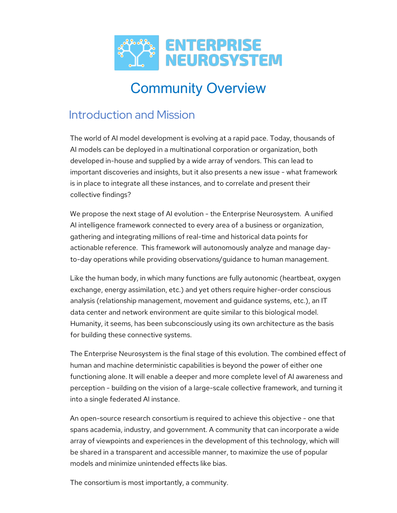

# Community Overview

### Introduction and Mission

The world of AI model development is evolving at a rapid pace. Today, thousands of AI models can be deployed in a multinational corporation or organization, both developed in-house and supplied by a wide array of vendors. This can lead to important discoveries and insights, but it also presents a new issue - what framework is in place to integrate all these instances, and to correlate and present their collective findings?

We propose the next stage of AI evolution - the Enterprise Neurosystem. A unified AI intelligence framework connected to every area of a business or organization, gathering and integrating millions of real-time and historical data points for actionable reference. This framework will autonomously analyze and manage dayto-day operations while providing observations/guidance to human management.

Like the human body, in which many functions are fully autonomic (heartbeat, oxygen exchange, energy assimilation, etc.) and yet others require higher-order conscious analysis (relationship management, movement and guidance systems, etc.), an IT data center and network environment are quite similar to this biological model. Humanity, it seems, has been subconsciously using its own architecture as the basis for building these connective systems.

The Enterprise Neurosystem is the final stage of this evolution. The combined effect of human and machine deterministic capabilities is beyond the power of either one functioning alone. It will enable a deeper and more complete level of AI awareness and perception - building on the vision of a large-scale collective framework, and turning it into a single federated AI instance.

An open-source research consortium is required to achieve this objective - one that spans academia, industry, and government. A community that can incorporate a wide array of viewpoints and experiences in the development of this technology, which will be shared in a transparent and accessible manner, to maximize the use of popular models and minimize unintended effects like bias.

The consortium is most importantly, a community.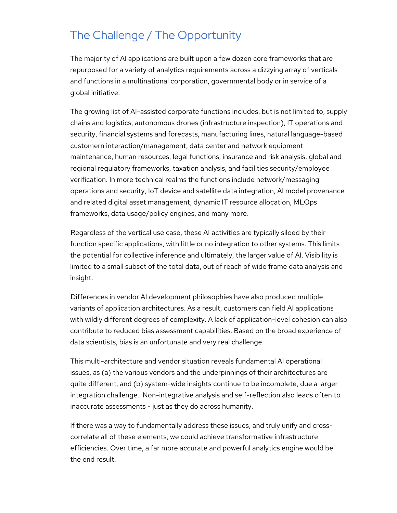### The Challenge / The Opportunity

The majority of AI applications are built upon a few dozen core frameworks that are repurposed for a variety of analytics requirements across a dizzying array of verticals and functions in a multinational corporation, governmental body or in service of a global initiative.

The growing list of AI-assisted corporate functions includes, but is not limited to, supply chains and logistics, autonomous drones (infrastructure inspection), IT operations and security, financial systems and forecasts, manufacturing lines, natural language-based customern interaction/management, data center and network equipment maintenance, human resources, legal functions, insurance and risk analysis, global and regional regulatory frameworks, taxation analysis, and facilities security/employee verification. In more technical realms the functions include network/messaging operations and security, IoT device and satellite data integration, AI model provenance and related digital asset management, dynamic IT resource allocation, MLOps frameworks, data usage/policy engines, and many more.

Regardless of the vertical use case, these AI activities are typically siloed by their function specific applications, with little or no integration to other systems. This limits the potential for collective inference and ultimately, the larger value of AI. Visibility is limited to a small subset of the total data, out of reach of wide frame data analysis and insight.

Differences in vendor AI development philosophies have also produced multiple variants of application architectures. As a result, customers can field AI applications with wildly different degrees of complexity. A lack of application-level cohesion can also contribute to reduced bias assessment capabilities. Based on the broad experience of data scientists, bias is an unfortunate and very real challenge.

This multi-architecture and vendor situation reveals fundamental AI operational issues, as (a) the various vendors and the underpinnings of their architectures are quite different, and (b) system-wide insights continue to be incomplete, due a larger integration challenge. Non-integrative analysis and self-reflection also leads often to inaccurate assessments - just as they do across humanity.

If there was a way to fundamentally address these issues, and truly unify and crosscorrelate all of these elements, we could achieve transformative infrastructure efficiencies. Over time, a far more accurate and powerful analytics engine would be the end result.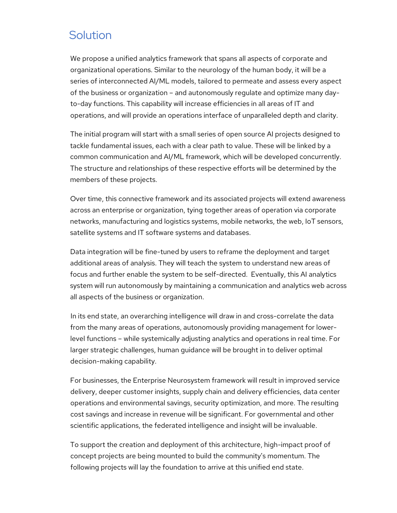### **Solution**

We propose a unified analytics framework that spans all aspects of corporate and organizational operations. Similar to the neurology of the human body, it will be a series of interconnected AI/ML models, tailored to permeate and assess every aspect of the business or organization – and autonomously regulate and optimize many dayto-day functions. This capability will increase efficiencies in all areas of IT and operations, and will provide an operations interface of unparalleled depth and clarity.

The initial program will start with a small series of open source AI projects designed to tackle fundamental issues, each with a clear path to value. These will be linked by a common communication and AI/ML framework, which will be developed concurrently. The structure and relationships of these respective efforts will be determined by the members of these projects.

Over time, this connective framework and its associated projects will extend awareness across an enterprise or organization, tying together areas of operation via corporate networks, manufacturing and logistics systems, mobile networks, the web, IoT sensors, satellite systems and IT software systems and databases.

Data integration will be fine-tuned by users to reframe the deployment and target additional areas of analysis. They will teach the system to understand new areas of focus and further enable the system to be self-directed. Eventually, this AI analytics system will run autonomously by maintaining a communication and analytics web across all aspects of the business or organization.

In its end state, an overarching intelligence will draw in and cross-correlate the data from the many areas of operations, autonomously providing management for lowerlevel functions – while systemically adjusting analytics and operations in real time. For larger strategic challenges, human guidance will be brought in to deliver optimal decision-making capability.

For businesses, the Enterprise Neurosystem framework will result in improved service delivery, deeper customer insights, supply chain and delivery efficiencies, data center operations and environmental savings, security optimization, and more. The resulting cost savings and increase in revenue will be significant. For governmental and other scientific applications, the federated intelligence and insight will be invaluable.

To support the creation and deployment of this architecture, high-impact proof of concept projects are being mounted to build the community's momentum. The following projects will lay the foundation to arrive at this unified end state.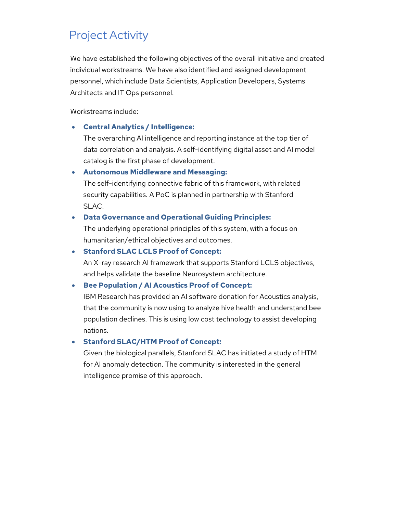### Project Activity

We have established the following objectives of the overall initiative and created individual workstreams. We have also identified and assigned development personnel, which include Data Scientists, Application Developers, Systems Architects and IT Ops personnel.

Workstreams include:

• **Central Analytics / Intelligence:** 

The overarching AI intelligence and reporting instance at the top tier of data correlation and analysis. A self-identifying digital asset and AI model catalog is the first phase of development.

#### • **Autonomous Middleware and Messaging:**

The self-identifying connective fabric of this framework, with related security capabilities. A PoC is planned in partnership with Stanford SLAC.

#### • **Data Governance and Operational Guiding Principles:**

The underlying operational principles of this system, with a focus on humanitarian/ethical objectives and outcomes.

#### • **Stanford SLAC LCLS Proof of Concept:**

An X-ray research AI framework that supports Stanford LCLS objectives, and helps validate the baseline Neurosystem architecture.

#### • **Bee Population / AI Acoustics Proof of Concept:**

IBM Research has provided an AI software donation for Acoustics analysis, that the community is now using to analyze hive health and understand bee population declines. This is using low cost technology to assist developing nations.

#### • **Stanford SLAC/HTM Proof of Concept:**

Given the biological parallels, Stanford SLAC has initiated a study of HTM for AI anomaly detection. The community is interested in the general intelligence promise of this approach.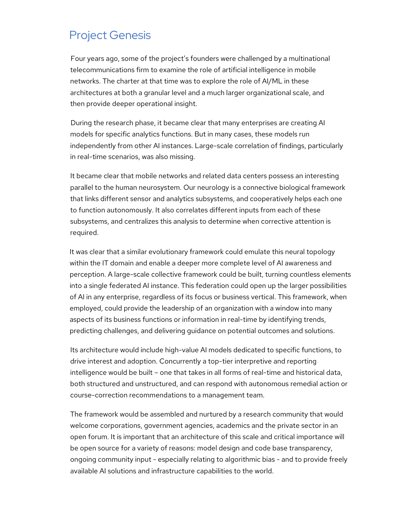### Project Genesis

Four years ago, some of the project's founders were challenged by a multinational telecommunications firm to examine the role of artificial intelligence in mobile networks. The charter at that time was to explore the role of AI/ML in these architectures at both a granular level and a much larger organizational scale, and then provide deeper operational insight.

During the research phase, it became clear that many enterprises are creating AI models for specific analytics functions. But in many cases, these models run independently from other AI instances. Large-scale correlation of findings, particularly in real-time scenarios, was also missing.

It became clear that mobile networks and related data centers possess an interesting parallel to the human neurosystem. Our neurology is a connective biological framework that links different sensor and analytics subsystems, and cooperatively helps each one to function autonomously. It also correlates different inputs from each of these subsystems, and centralizes this analysis to determine when corrective attention is required.

It was clear that a similar evolutionary framework could emulate this neural topology within the IT domain and enable a deeper more complete level of AI awareness and perception. A large-scale collective framework could be built, turning countless elements into a single federated AI instance. This federation could open up the larger possibilities of AI in any enterprise, regardless of its focus or business vertical. This framework, when employed, could provide the leadership of an organization with a window into many aspects of its business functions or information in real-time by identifying trends, predicting challenges, and delivering guidance on potential outcomes and solutions.

Its architecture would include high-value AI models dedicated to specific functions, to drive interest and adoption. Concurrently a top-tier interpretive and reporting intelligence would be built – one that takes in all forms of real-time and historical data, both structured and unstructured, and can respond with autonomous remedial action or course-correction recommendations to a management team.

The framework would be assembled and nurtured by a research community that would welcome corporations, government agencies, academics and the private sector in an open forum. It is important that an architecture of this scale and critical importance will be open source for a variety of reasons: model design and code base transparency, ongoing community input - especially relating to algorithmic bias - and to provide freely available AI solutions and infrastructure capabilities to the world.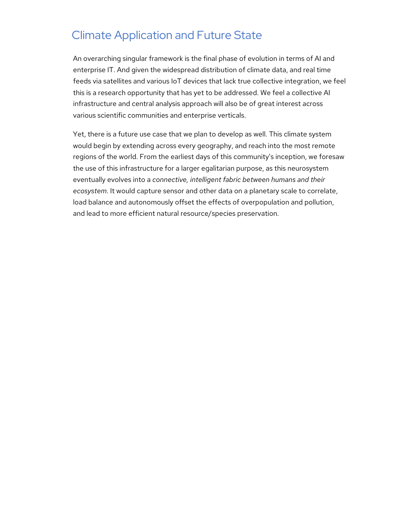### Climate Application and Future State

An overarching singular framework is the final phase of evolution in terms of AI and enterprise IT. And given the widespread distribution of climate data, and real time feeds via satellites and various IoT devices that lack true collective integration, we feel this is a research opportunity that has yet to be addressed. We feel a collective AI infrastructure and central analysis approach will also be of great interest across various scientific communities and enterprise verticals.

Yet, there is a future use case that we plan to develop as well. This climate system would begin by extending across every geography, and reach into the most remote regions of the world. From the earliest days of this community's inception, we foresaw the use of this infrastructure for a larger egalitarian purpose, as this neurosystem eventually evolves into a *connective, intelligent fabric between humans and their ecosystem*. It would capture sensor and other data on a planetary scale to correlate, load balance and autonomously offset the effects of overpopulation and pollution, and lead to more efficient natural resource/species preservation.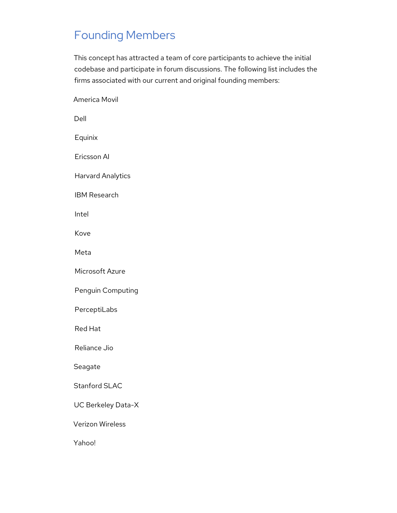### Founding Members

This concept has attracted a team of core participants to achieve the initial codebase and participate in forum discussions. The following list includes the firms associated with our current and original founding members:

America Movil Dell Equinix Ericsson AI Harvard Analytics IBM Research Intel Kove Meta Microsoft Azure Penguin Computing PerceptiLabs Red Hat Reliance Jio Seagate Stanford SLAC UC Berkeley Data-X Verizon Wireless Yahoo!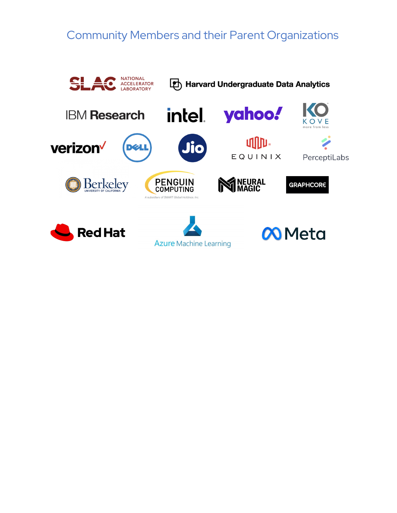### Community Members and their Parent Organizations

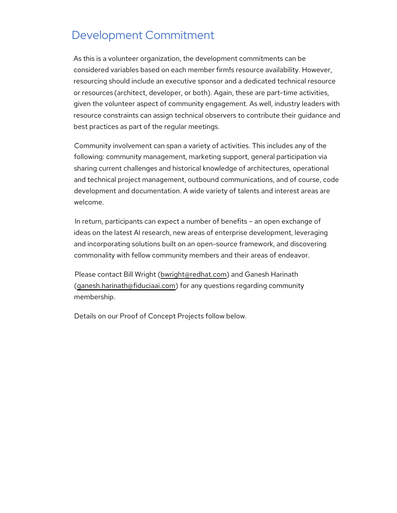### Development Commitment

As this is a volunteer organization, the development commitments can be considered variables based on each member firm!s resource availability. However, resourcing should include an executive sponsor and a dedicated technical resource or resources (architect, developer, or both). Again, these are part-time activities, given the volunteer aspect of community engagement. As well, industry leaders with resource constraints can assign technical observers to contribute their guidance and best practices as part of the regular meetings.

Community involvement can span a variety of activities. This includes any of the following: community management, marketing support, general participation via sharing current challenges and historical knowledge of architectures, operational and technical project management, outbound communications, and of course, code development and documentation. A wide variety of talents and interest areas are welcome.

In return, participants can expect a number of benefits – an open exchange of ideas on the latest AI research, new areas of enterprise development, leveraging and incorporating solutions built on an open-source framework, and discovering commonality with fellow community members and their areas of endeavor.

Please contact Bill Wright (bwright@redhat.com) and Ganesh Harinath (ganesh.harinath@fiduciaai.com) for any questions regarding community membership.

Details on our Proof of Concept Projects follow below.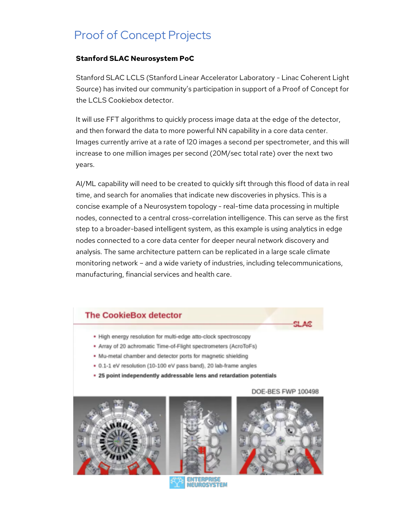## Proof of Concept Projects

### **Stanford SLAC Neurosystem PoC**

Stanford SLAC LCLS (Stanford Linear Accelerator Laboratory - Linac Coherent Light Source) has invited our community's participation in support of a Proof of Concept for the LCLS Cookiebox detector.

It will use FFT algorithms to quickly process image data at the edge of the detector, and then forward the data to more powerful NN capability in a core data center. Images currently arrive at a rate of 120 images a second per spectrometer, and this will increase to one million images per second (20M/sec total rate) over the next two years.

AI/ML capability will need to be created to quickly sift through this flood of data in real time, and search for anomalies that indicate new discoveries in physics. This is a concise example of a Neurosystem topology - real-time data processing in multiple nodes, connected to a central cross-correlation intelligence. This can serve as the first step to a broader-based intelligent system, as this example is using analytics in edge nodes connected to a core data center for deeper neural network discovery and analysis. The same architecture pattern can be replicated in a large scale climate monitoring network – and a wide variety of industries, including telecommunications, manufacturing, financial services and health care.

### **The CookieBox detector**

- . High energy resolution for multi-edge atto-clock spectroscopy
- Array of 20 achromatic Time-of-Flight spectrometers (AcroToFs)
- . Mu-metal chamber and detector ports for magnetic shielding
- 0.1-1 eV resolution (10-100 eV pass band), 20 lab-frame angles
- 25 point independently addressable lens and retardation potentials









#### DOE-BES FWP 100498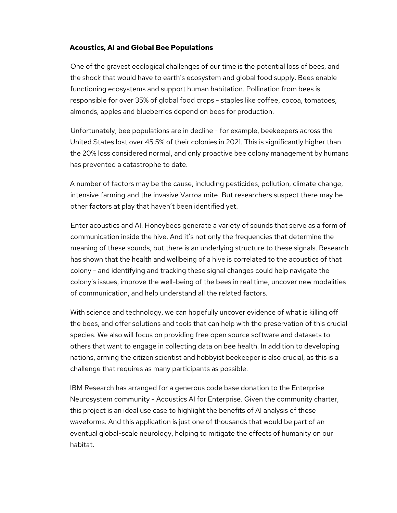#### **Acoustics, AI and Global Bee Populations**

One of the gravest ecological challenges of our time is the potential loss of bees, and the shock that would have to earth's ecosystem and global food supply. Bees enable functioning ecosystems and support human habitation. Pollination from bees is responsible for over 35% of global food crops - staples like coffee, cocoa, tomatoes, almonds, apples and blueberries depend on bees for production.

Unfortunately, bee populations are in decline - for example, beekeepers across the United States lost over 45.5% of their colonies in 2021. This is significantly higher than the 20% loss considered normal, and only proactive bee colony management by humans has prevented a catastrophe to date.

A number of factors may be the cause, including pesticides, pollution, climate change, intensive farming and the invasive Varroa mite. But researchers suspect there may be other factors at play that haven't been identified yet.

Enter acoustics and AI. Honeybees generate a variety of sounds that serve as a form of communication inside the hive. And it's not only the frequencies that determine the meaning of these sounds, but there is an underlying structure to these signals. Research has shown that the health and wellbeing of a hive is correlated to the acoustics of that colony - and identifying and tracking these signal changes could help navigate the colony's issues, improve the well-being of the bees in real time, uncover new modalities of communication, and help understand all the related factors.

With science and technology, we can hopefully uncover evidence of what is killing off the bees, and offer solutions and tools that can help with the preservation of this crucial species. We also will focus on providing free open source software and datasets to others that want to engage in collecting data on bee health. In addition to developing nations, arming the citizen scientist and hobbyist beekeeper is also crucial, as this is a challenge that requires as many participants as possible.

IBM Research has arranged for a generous code base donation to the Enterprise Neurosystem community - Acoustics AI for Enterprise. Given the community charter, this project is an ideal use case to highlight the benefits of AI analysis of these waveforms. And this application is just one of thousands that would be part of an eventual global-scale neurology, helping to mitigate the effects of humanity on our habitat.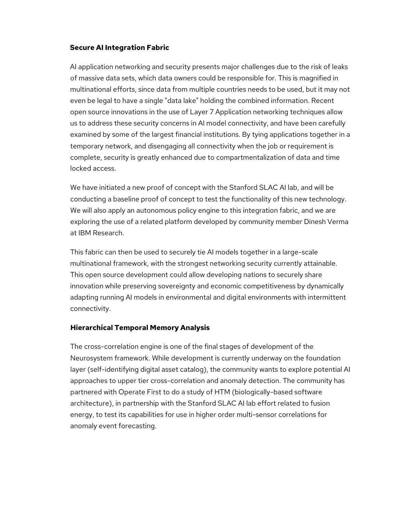#### **Secure AI Integration Fabric**

AI application networking and security presents major challenges due to the risk of leaks of massive data sets, which data owners could be responsible for. This is magnified in multinational efforts, since data from multiple countries needs to be used, but it may not even be legal to have a single "data lake" holding the combined information. Recent open source innovations in the use of Layer 7 Application networking techniques allow us to address these security concerns in AI model connectivity, and have been carefully examined by some of the largest financial institutions. By tying applications together in a temporary network, and disengaging all connectivity when the job or requirement is complete, security is greatly enhanced due to compartmentalization of data and time locked access.

We have initiated a new proof of concept with the Stanford SLAC AI lab, and will be conducting a baseline proof of concept to test the functionality of this new technology. We will also apply an autonomous policy engine to this integration fabric, and we are exploring the use of a related platform developed by community member Dinesh Verma at IBM Research.

This fabric can then be used to securely tie AI models together in a large-scale multinational framework, with the strongest networking security currently attainable. This open source development could allow developing nations to securely share innovation while preserving sovereignty and economic competitiveness by dynamically adapting running AI models in environmental and digital environments with intermittent connectivity.

### **Hierarchical Temporal Memory Analysis**

The cross-correlation engine is one of the final stages of development of the Neurosystem framework. While development is currently underway on the foundation layer (self-identifying digital asset catalog), the community wants to explore potential AI approaches to upper tier cross-correlation and anomaly detection. The community has partnered with Operate First to do a study of HTM (biologically-based software architecture), in partnership with the Stanford SLAC AI lab effort related to fusion energy, to test its capabilities for use in higher order multi-sensor correlations for anomaly event forecasting.